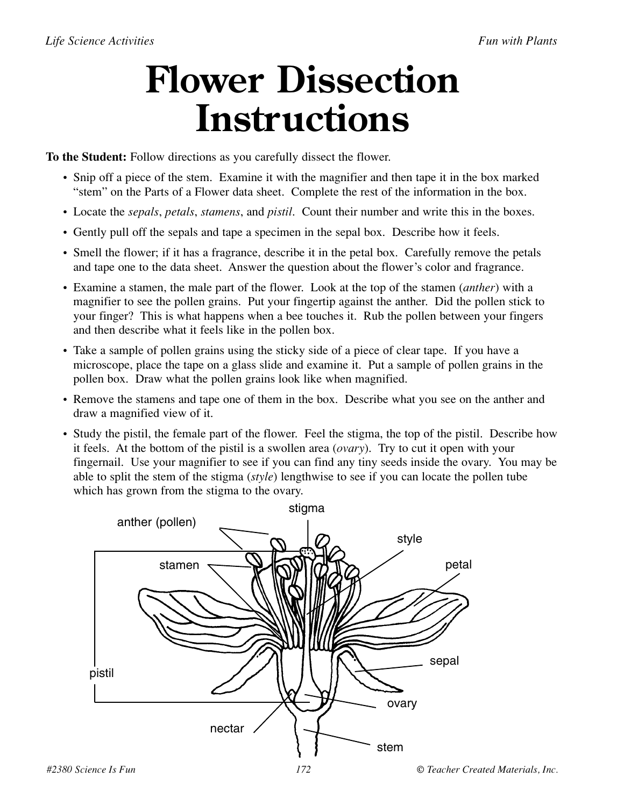## **Flower Dissection Instructions**

**To the Student:** Follow directions as you carefully dissect the flower.

- Snip off a piece of the stem. Examine it with the magnifier and then tape it in the box marked "stem" on the Parts of a Flower data sheet. Complete the rest of the information in the box.
- Locate the *sepals*, *petals*, *stamens*, and *pistil*. Count their number and write this in the boxes.
- Gently pull off the sepals and tape a specimen in the sepal box. Describe how it feels.
- Smell the flower; if it has a fragrance, describe it in the petal box. Carefully remove the petals and tape one to the data sheet. Answer the question about the flower's color and fragrance.
- Examine a stamen, the male part of the flower. Look at the top of the stamen (*anther*) with a magnifier to see the pollen grains. Put your fingertip against the anther. Did the pollen stick to your finger? This is what happens when a bee touches it. Rub the pollen between your fingers and then describe what it feels like in the pollen box.
- Take a sample of pollen grains using the sticky side of a piece of clear tape. If you have a microscope, place the tape on a glass slide and examine it. Put a sample of pollen grains in the pollen box. Draw what the pollen grains look like when magnified.
- Remove the stamens and tape one of them in the box. Describe what you see on the anther and draw a magnified view of it.
- Study the pistil, the female part of the flower. Feel the stigma, the top of the pistil. Describe how it feels. At the bottom of the pistil is a swollen area (*ovary*). Try to cut it open with your fingernail. Use your magnifier to see if you can find any tiny seeds inside the ovary. You may be able to split the stem of the stigma (*style*) lengthwise to see if you can locate the pollen tube which has grown from the stigma to the ovary.

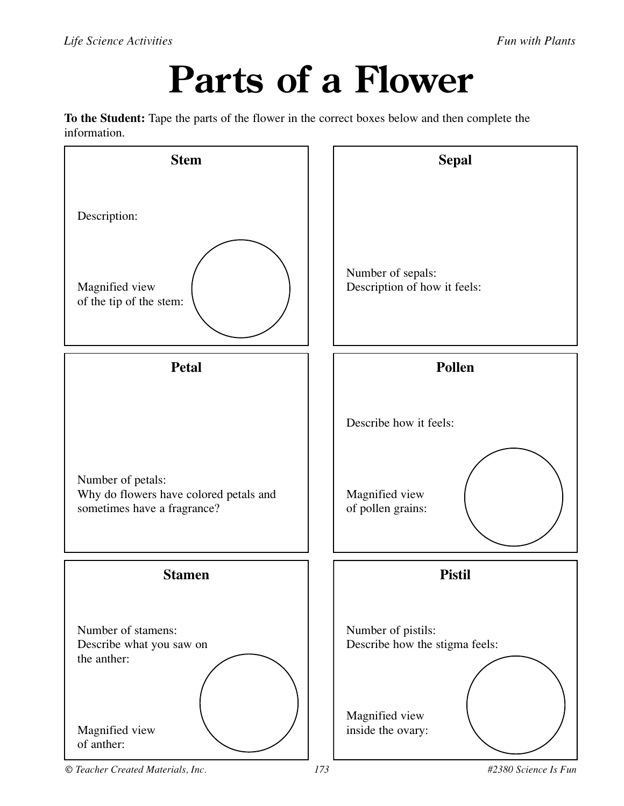*Life Science Activities Fun with Plants*

## **Parts of a Flower**

**To the Student:** Tape the parts of the flower in the correct boxes below and then complete the information.